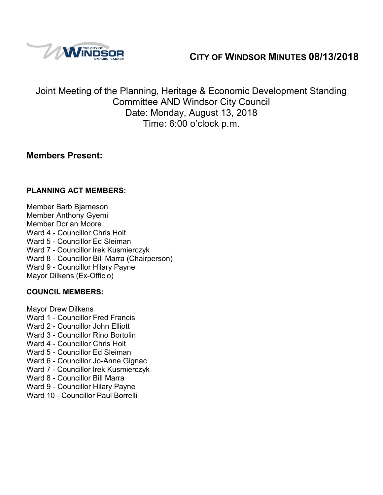# **CITY OF WINDSOR MINUTES 08/13/2018**



Joint Meeting of the Planning, Heritage & Economic Development Standing Committee AND Windsor City Council Date: Monday, August 13, 2018 Time: 6:00 o'clock p.m.

### **Members Present:**

### **PLANNING ACT MEMBERS:**

Member Barb Bjarneson Member Anthony Gyemi Member Dorian Moore Ward 4 - Councillor Chris Holt Ward 5 - Councillor Ed Sleiman Ward 7 - Councillor Irek Kusmierczyk Ward 8 - Councillor Bill Marra (Chairperson) Ward 9 - Councillor Hilary Payne Mayor Dilkens (Ex-Officio)

#### **COUNCIL MEMBERS:**

Mayor Drew Dilkens

- Ward 1 Councillor Fred Francis
- Ward 2 Councillor John Elliott
- Ward 3 Councillor Rino Bortolin
- Ward 4 Councillor Chris Holt
- Ward 5 Councillor Ed Sleiman
- Ward 6 Councillor Jo-Anne Gignac
- Ward 7 Councillor Irek Kusmierczyk
- Ward 8 Councillor Bill Marra
- Ward 9 Councillor Hilary Payne
- Ward 10 Councillor Paul Borrelli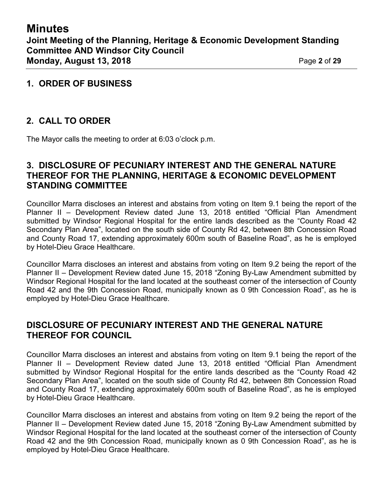### **1. ORDER OF BUSINESS**

## **2. CALL TO ORDER**

The Mayor calls the meeting to order at 6:03 o'clock p.m.

### **3. DISCLOSURE OF PECUNIARY INTEREST AND THE GENERAL NATURE THEREOF FOR THE PLANNING, HERITAGE & ECONOMIC DEVELOPMENT STANDING COMMITTEE**

Councillor Marra discloses an interest and abstains from voting on Item 9.1 being the report of the Planner II – Development Review dated June 13, 2018 entitled "Official Plan Amendment submitted by Windsor Regional Hospital for the entire lands described as the "County Road 42 Secondary Plan Area", located on the south side of County Rd 42, between 8th Concession Road and County Road 17, extending approximately 600m south of Baseline Road", as he is employed by Hotel-Dieu Grace Healthcare.

Councillor Marra discloses an interest and abstains from voting on Item 9.2 being the report of the Planner II – Development Review dated June 15, 2018 "Zoning By-Law Amendment submitted by Windsor Regional Hospital for the land located at the southeast corner of the intersection of County Road 42 and the 9th Concession Road, municipally known as 0 9th Concession Road", as he is employed by Hotel-Dieu Grace Healthcare.

### **DISCLOSURE OF PECUNIARY INTEREST AND THE GENERAL NATURE THEREOF FOR COUNCIL**

Councillor Marra discloses an interest and abstains from voting on Item 9.1 being the report of the Planner II – Development Review dated June 13, 2018 entitled "Official Plan Amendment submitted by Windsor Regional Hospital for the entire lands described as the "County Road 42 Secondary Plan Area", located on the south side of County Rd 42, between 8th Concession Road and County Road 17, extending approximately 600m south of Baseline Road", as he is employed by Hotel-Dieu Grace Healthcare.

Councillor Marra discloses an interest and abstains from voting on Item 9.2 being the report of the Planner II – Development Review dated June 15, 2018 "Zoning By-Law Amendment submitted by Windsor Regional Hospital for the land located at the southeast corner of the intersection of County Road 42 and the 9th Concession Road, municipally known as 0 9th Concession Road", as he is employed by Hotel-Dieu Grace Healthcare.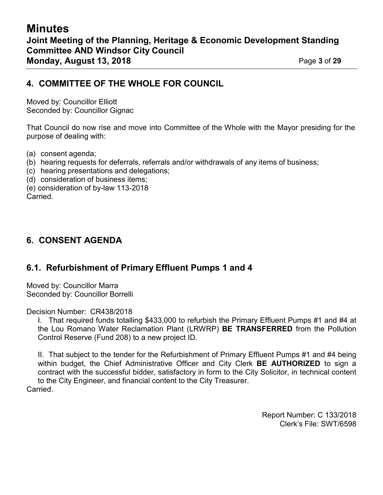### **4. COMMITTEE OF THE WHOLE FOR COUNCIL**

Moved by: Councillor Elliott Seconded by: Councillor Gignac

That Council do now rise and move into Committee of the Whole with the Mayor presiding for the purpose of dealing with:

- (a) consent agenda;
- (b) hearing requests for deferrals, referrals and/or withdrawals of any items of business;
- (c) hearing presentations and delegations;
- (d) consideration of business items;

(e) consideration of by-law 113-2018 Carried.

### **6. CONSENT AGENDA**

### **6.1. Refurbishment of Primary Effluent Pumps 1 and 4**

Moved by: Councillor Marra Seconded by: Councillor Borrelli

Decision Number: CR438/2018

I. That required funds totalling \$433,000 to refurbish the Primary Effluent Pumps #1 and #4 at the Lou Romano Water Reclamation Plant (LRWRP) **BE TRANSFERRED** from the Pollution Control Reserve (Fund 208) to a new project ID.

II. That subject to the tender for the Refurbishment of Primary Effluent Pumps #1 and #4 being within budget, the Chief Administrative Officer and City Clerk **BE AUTHORIZED** to sign a contract with the successful bidder, satisfactory in form to the City Solicitor, in technical content to the City Engineer, and financial content to the City Treasurer.

Carried.

Report Number: C 133/2018 Clerk's File: SWT/6598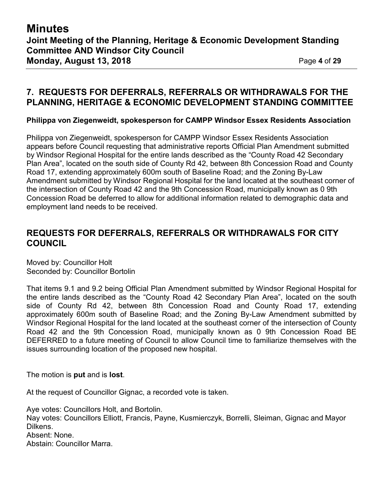### **7. REQUESTS FOR DEFERRALS, REFERRALS OR WITHDRAWALS FOR THE PLANNING, HERITAGE & ECONOMIC DEVELOPMENT STANDING COMMITTEE**

**Philippa von Ziegenweidt, spokesperson for CAMPP Windsor Essex Residents Association**

Philippa von Ziegenweidt, spokesperson for CAMPP Windsor Essex Residents Association appears before Council requesting that administrative reports Official Plan Amendment submitted by Windsor Regional Hospital for the entire lands described as the "County Road 42 Secondary Plan Area", located on the south side of County Rd 42, between 8th Concession Road and County Road 17, extending approximately 600m south of Baseline Road; and the Zoning By-Law Amendment submitted by Windsor Regional Hospital for the land located at the southeast corner of the intersection of County Road 42 and the 9th Concession Road, municipally known as 0 9th Concession Road be deferred to allow for additional information related to demographic data and employment land needs to be received.

### **REQUESTS FOR DEFERRALS, REFERRALS OR WITHDRAWALS FOR CITY COUNCIL**

Moved by: Councillor Holt Seconded by: Councillor Bortolin

That items 9.1 and 9.2 being Official Plan Amendment submitted by Windsor Regional Hospital for the entire lands described as the "County Road 42 Secondary Plan Area", located on the south side of County Rd 42, between 8th Concession Road and County Road 17, extending approximately 600m south of Baseline Road; and the Zoning By-Law Amendment submitted by Windsor Regional Hospital for the land located at the southeast corner of the intersection of County Road 42 and the 9th Concession Road, municipally known as 0 9th Concession Road BE DEFERRED to a future meeting of Council to allow Council time to familiarize themselves with the issues surrounding location of the proposed new hospital.

The motion is **put** and is **lost**.

At the request of Councillor Gignac, a recorded vote is taken.

Aye votes: Councillors Holt, and Bortolin. Nay votes: Councillors Elliott, Francis, Payne, Kusmierczyk, Borrelli, Sleiman, Gignac and Mayor Dilkens. Absent: None. Abstain: Councillor Marra.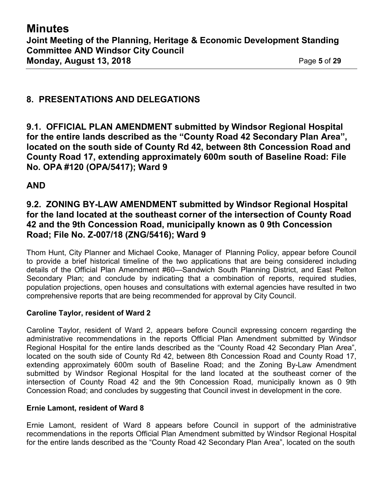### **8. PRESENTATIONS AND DELEGATIONS**

**9.1. OFFICIAL PLAN AMENDMENT submitted by Windsor Regional Hospital for the entire lands described as the "County Road 42 Secondary Plan Area", located on the south side of County Rd 42, between 8th Concession Road and County Road 17, extending approximately 600m south of Baseline Road: File No. OPA #120 (OPA/5417); Ward 9**

### **AND**

### **9.2. ZONING BY-LAW AMENDMENT submitted by Windsor Regional Hospital for the land located at the southeast corner of the intersection of County Road 42 and the 9th Concession Road, municipally known as 0 9th Concession Road; File No. Z-007/18 (ZNG/5416); Ward 9**

Thom Hunt, City Planner and Michael Cooke, Manager of Planning Policy, appear before Council to provide a brief historical timeline of the two applications that are being considered including details of the Official Plan Amendment #60—Sandwich South Planning District, and East Pelton Secondary Plan; and conclude by indicating that a combination of reports, required studies, population projections, open houses and consultations with external agencies have resulted in two comprehensive reports that are being recommended for approval by City Council.

#### **Caroline Taylor, resident of Ward 2**

Caroline Taylor, resident of Ward 2, appears before Council expressing concern regarding the administrative recommendations in the reports Official Plan Amendment submitted by Windsor Regional Hospital for the entire lands described as the "County Road 42 Secondary Plan Area", located on the south side of County Rd 42, between 8th Concession Road and County Road 17, extending approximately 600m south of Baseline Road; and the Zoning By-Law Amendment submitted by Windsor Regional Hospital for the land located at the southeast corner of the intersection of County Road 42 and the 9th Concession Road, municipally known as 0 9th Concession Road; and concludes by suggesting that Council invest in development in the core.

#### **Ernie Lamont, resident of Ward 8**

Ernie Lamont, resident of Ward 8 appears before Council in support of the administrative recommendations in the reports Official Plan Amendment submitted by Windsor Regional Hospital for the entire lands described as the "County Road 42 Secondary Plan Area", located on the south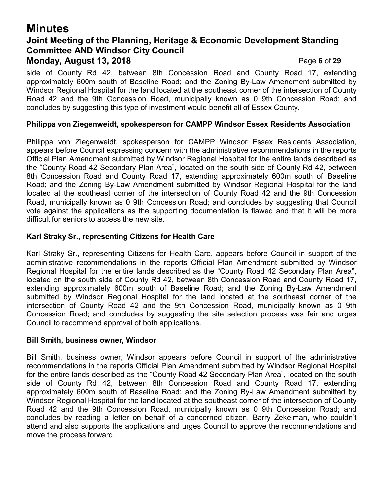# **Minutes Joint Meeting of the Planning, Heritage & Economic Development Standing Committee AND Windsor City Council Monday, August 13, 2018** Page **6** of **29**

side of County Rd 42, between 8th Concession Road and County Road 17, extending approximately 600m south of Baseline Road; and the Zoning By-Law Amendment submitted by Windsor Regional Hospital for the land located at the southeast corner of the intersection of County Road 42 and the 9th Concession Road, municipally known as 0 9th Concession Road; and concludes by suggesting this type of investment would benefit all of Essex County.

#### **Philippa von Ziegenweidt, spokesperson for CAMPP Windsor Essex Residents Association**

Philippa von Ziegenweidt, spokesperson for CAMPP Windsor Essex Residents Association, appears before Council expressing concern with the administrative recommendations in the reports Official Plan Amendment submitted by Windsor Regional Hospital for the entire lands described as the "County Road 42 Secondary Plan Area", located on the south side of County Rd 42, between 8th Concession Road and County Road 17, extending approximately 600m south of Baseline Road; and the Zoning By-Law Amendment submitted by Windsor Regional Hospital for the land located at the southeast corner of the intersection of County Road 42 and the 9th Concession Road, municipally known as 0 9th Concession Road; and concludes by suggesting that Council vote against the applications as the supporting documentation is flawed and that it will be more difficult for seniors to access the new site.

#### **Karl Straky Sr., representing Citizens for Health Care**

Karl Straky Sr., representing Citizens for Health Care, appears before Council in support of the administrative recommendations in the reports Official Plan Amendment submitted by Windsor Regional Hospital for the entire lands described as the "County Road 42 Secondary Plan Area", located on the south side of County Rd 42, between 8th Concession Road and County Road 17, extending approximately 600m south of Baseline Road; and the Zoning By-Law Amendment submitted by Windsor Regional Hospital for the land located at the southeast corner of the intersection of County Road 42 and the 9th Concession Road, municipally known as 0 9th Concession Road; and concludes by suggesting the site selection process was fair and urges Council to recommend approval of both applications.

#### **Bill Smith, business owner, Windsor**

Bill Smith, business owner, Windsor appears before Council in support of the administrative recommendations in the reports Official Plan Amendment submitted by Windsor Regional Hospital for the entire lands described as the "County Road 42 Secondary Plan Area", located on the south side of County Rd 42, between 8th Concession Road and County Road 17, extending approximately 600m south of Baseline Road; and the Zoning By-Law Amendment submitted by Windsor Regional Hospital for the land located at the southeast corner of the intersection of County Road 42 and the 9th Concession Road, municipally known as 0 9th Concession Road; and concludes by reading a letter on behalf of a concerned citizen, Barry Zekelman, who couldn't attend and also supports the applications and urges Council to approve the recommendations and move the process forward.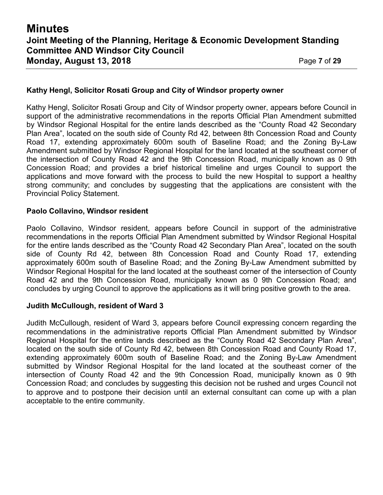#### **Kathy Hengl, Solicitor Rosati Group and City of Windsor property owner**

Kathy Hengl, Solicitor Rosati Group and City of Windsor property owner, appears before Council in support of the administrative recommendations in the reports Official Plan Amendment submitted by Windsor Regional Hospital for the entire lands described as the "County Road 42 Secondary Plan Area", located on the south side of County Rd 42, between 8th Concession Road and County Road 17, extending approximately 600m south of Baseline Road; and the Zoning By-Law Amendment submitted by Windsor Regional Hospital for the land located at the southeast corner of the intersection of County Road 42 and the 9th Concession Road, municipally known as 0 9th Concession Road; and provides a brief historical timeline and urges Council to support the applications and move forward with the process to build the new Hospital to support a healthy strong community; and concludes by suggesting that the applications are consistent with the Provincial Policy Statement.

#### **Paolo Collavino, Windsor resident**

Paolo Collavino, Windsor resident, appears before Council in support of the administrative recommendations in the reports Official Plan Amendment submitted by Windsor Regional Hospital for the entire lands described as the "County Road 42 Secondary Plan Area", located on the south side of County Rd 42, between 8th Concession Road and County Road 17, extending approximately 600m south of Baseline Road; and the Zoning By-Law Amendment submitted by Windsor Regional Hospital for the land located at the southeast corner of the intersection of County Road 42 and the 9th Concession Road, municipally known as 0 9th Concession Road; and concludes by urging Council to approve the applications as it will bring positive growth to the area.

#### **Judith McCullough, resident of Ward 3**

Judith McCullough, resident of Ward 3, appears before Council expressing concern regarding the recommendations in the administrative reports Official Plan Amendment submitted by Windsor Regional Hospital for the entire lands described as the "County Road 42 Secondary Plan Area", located on the south side of County Rd 42, between 8th Concession Road and County Road 17, extending approximately 600m south of Baseline Road; and the Zoning By-Law Amendment submitted by Windsor Regional Hospital for the land located at the southeast corner of the intersection of County Road 42 and the 9th Concession Road, municipally known as 0 9th Concession Road; and concludes by suggesting this decision not be rushed and urges Council not to approve and to postpone their decision until an external consultant can come up with a plan acceptable to the entire community.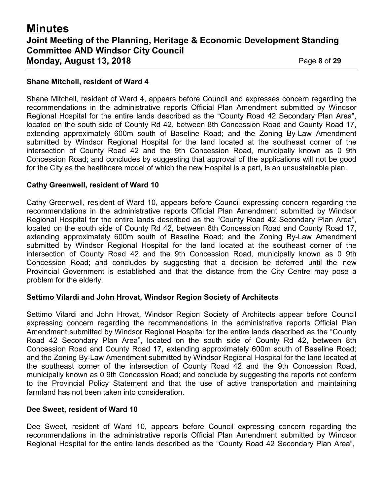#### **Shane Mitchell, resident of Ward 4**

Shane Mitchell, resident of Ward 4, appears before Council and expresses concern regarding the recommendations in the administrative reports Official Plan Amendment submitted by Windsor Regional Hospital for the entire lands described as the "County Road 42 Secondary Plan Area", located on the south side of County Rd 42, between 8th Concession Road and County Road 17, extending approximately 600m south of Baseline Road; and the Zoning By-Law Amendment submitted by Windsor Regional Hospital for the land located at the southeast corner of the intersection of County Road 42 and the 9th Concession Road, municipally known as 0 9th Concession Road; and concludes by suggesting that approval of the applications will not be good for the City as the healthcare model of which the new Hospital is a part, is an unsustainable plan.

#### **Cathy Greenwell, resident of Ward 10**

Cathy Greenwell, resident of Ward 10, appears before Council expressing concern regarding the recommendations in the administrative reports Official Plan Amendment submitted by Windsor Regional Hospital for the entire lands described as the "County Road 42 Secondary Plan Area", located on the south side of County Rd 42, between 8th Concession Road and County Road 17, extending approximately 600m south of Baseline Road; and the Zoning By-Law Amendment submitted by Windsor Regional Hospital for the land located at the southeast corner of the intersection of County Road 42 and the 9th Concession Road, municipally known as 0 9th Concession Road; and concludes by suggesting that a decision be deferred until the new Provincial Government is established and that the distance from the City Centre may pose a problem for the elderly.

#### **Settimo Vilardi and John Hrovat, Windsor Region Society of Architects**

Settimo Vilardi and John Hrovat, Windsor Region Society of Architects appear before Council expressing concern regarding the recommendations in the administrative reports Official Plan Amendment submitted by Windsor Regional Hospital for the entire lands described as the "County Road 42 Secondary Plan Area", located on the south side of County Rd 42, between 8th Concession Road and County Road 17, extending approximately 600m south of Baseline Road; and the Zoning By-Law Amendment submitted by Windsor Regional Hospital for the land located at the southeast corner of the intersection of County Road 42 and the 9th Concession Road, municipally known as 0 9th Concession Road; and conclude by suggesting the reports not conform to the Provincial Policy Statement and that the use of active transportation and maintaining farmland has not been taken into consideration.

#### **Dee Sweet, resident of Ward 10**

Dee Sweet, resident of Ward 10, appears before Council expressing concern regarding the recommendations in the administrative reports Official Plan Amendment submitted by Windsor Regional Hospital for the entire lands described as the "County Road 42 Secondary Plan Area",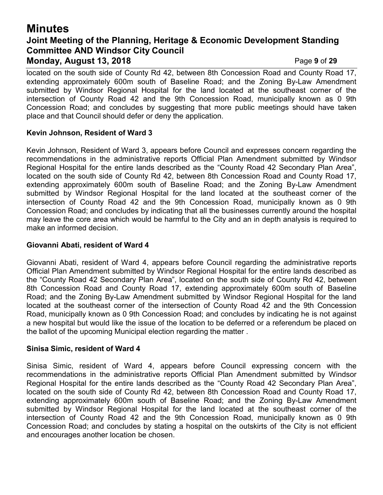# **Minutes Joint Meeting of the Planning, Heritage & Economic Development Standing Committee AND Windsor City Council Monday, August 13, 2018** Page **9** of **29**

located on the south side of County Rd 42, between 8th Concession Road and County Road 17, extending approximately 600m south of Baseline Road; and the Zoning By-Law Amendment submitted by Windsor Regional Hospital for the land located at the southeast corner of the intersection of County Road 42 and the 9th Concession Road, municipally known as 0 9th Concession Road; and concludes by suggesting that more public meetings should have taken place and that Council should defer or deny the application.

#### **Kevin Johnson, Resident of Ward 3**

Kevin Johnson, Resident of Ward 3, appears before Council and expresses concern regarding the recommendations in the administrative reports Official Plan Amendment submitted by Windsor Regional Hospital for the entire lands described as the "County Road 42 Secondary Plan Area", located on the south side of County Rd 42, between 8th Concession Road and County Road 17, extending approximately 600m south of Baseline Road; and the Zoning By-Law Amendment submitted by Windsor Regional Hospital for the land located at the southeast corner of the intersection of County Road 42 and the 9th Concession Road, municipally known as 0 9th Concession Road; and concludes by indicating that all the businesses currently around the hospital may leave the core area which would be harmful to the City and an in depth analysis is required to make an informed decision.

#### **Giovanni Abati, resident of Ward 4**

Giovanni Abati, resident of Ward 4, appears before Council regarding the administrative reports Official Plan Amendment submitted by Windsor Regional Hospital for the entire lands described as the "County Road 42 Secondary Plan Area", located on the south side of County Rd 42, between 8th Concession Road and County Road 17, extending approximately 600m south of Baseline Road; and the Zoning By-Law Amendment submitted by Windsor Regional Hospital for the land located at the southeast corner of the intersection of County Road 42 and the 9th Concession Road, municipally known as 0 9th Concession Road; and concludes by indicating he is not against a new hospital but would like the issue of the location to be deferred or a referendum be placed on the ballot of the upcoming Municipal election regarding the matter .

#### **Sinisa Simic, resident of Ward 4**

Sinisa Simic, resident of Ward 4, appears before Council expressing concern with the recommendations in the administrative reports Official Plan Amendment submitted by Windsor Regional Hospital for the entire lands described as the "County Road 42 Secondary Plan Area", located on the south side of County Rd 42, between 8th Concession Road and County Road 17, extending approximately 600m south of Baseline Road; and the Zoning By-Law Amendment submitted by Windsor Regional Hospital for the land located at the southeast corner of the intersection of County Road 42 and the 9th Concession Road, municipally known as 0 9th Concession Road; and concludes by stating a hospital on the outskirts of the City is not efficient and encourages another location be chosen.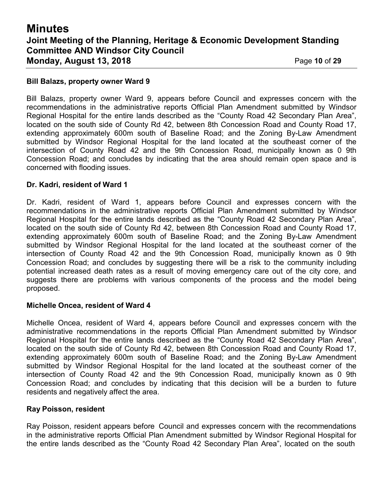# **Minutes Joint Meeting of the Planning, Heritage & Economic Development Standing Committee AND Windsor City Council Monday, August 13, 2018** Page **10** of **29**

#### **Bill Balazs, property owner Ward 9**

Bill Balazs, property owner Ward 9, appears before Council and expresses concern with the recommendations in the administrative reports Official Plan Amendment submitted by Windsor Regional Hospital for the entire lands described as the "County Road 42 Secondary Plan Area", located on the south side of County Rd 42, between 8th Concession Road and County Road 17, extending approximately 600m south of Baseline Road; and the Zoning By-Law Amendment submitted by Windsor Regional Hospital for the land located at the southeast corner of the intersection of County Road 42 and the 9th Concession Road, municipally known as 0 9th Concession Road; and concludes by indicating that the area should remain open space and is concerned with flooding issues.

#### **Dr. Kadri, resident of Ward 1**

Dr. Kadri, resident of Ward 1, appears before Council and expresses concern with the recommendations in the administrative reports Official Plan Amendment submitted by Windsor Regional Hospital for the entire lands described as the "County Road 42 Secondary Plan Area", located on the south side of County Rd 42, between 8th Concession Road and County Road 17, extending approximately 600m south of Baseline Road; and the Zoning By-Law Amendment submitted by Windsor Regional Hospital for the land located at the southeast corner of the intersection of County Road 42 and the 9th Concession Road, municipally known as 0 9th Concession Road; and concludes by suggesting there will be a risk to the community including potential increased death rates as a result of moving emergency care out of the city core, and suggests there are problems with various components of the process and the model being proposed.

#### **Michelle Oncea, resident of Ward 4**

Michelle Oncea, resident of Ward 4, appears before Council and expresses concern with the administrative recommendations in the reports Official Plan Amendment submitted by Windsor Regional Hospital for the entire lands described as the "County Road 42 Secondary Plan Area", located on the south side of County Rd 42, between 8th Concession Road and County Road 17, extending approximately 600m south of Baseline Road; and the Zoning By-Law Amendment submitted by Windsor Regional Hospital for the land located at the southeast corner of the intersection of County Road 42 and the 9th Concession Road, municipally known as 0 9th Concession Road; and concludes by indicating that this decision will be a burden to future residents and negatively affect the area.

#### **Ray Poisson, resident**

Ray Poisson, resident appears before Council and expresses concern with the recommendations in the administrative reports Official Plan Amendment submitted by Windsor Regional Hospital for the entire lands described as the "County Road 42 Secondary Plan Area", located on the south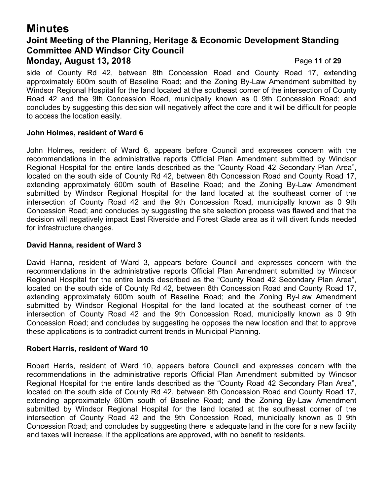## **Minutes Joint Meeting of the Planning, Heritage & Economic Development Standing Committee AND Windsor City Council Monday, August 13, 2018** Page **11** of **29**

side of County Rd 42, between 8th Concession Road and County Road 17, extending approximately 600m south of Baseline Road; and the Zoning By-Law Amendment submitted by Windsor Regional Hospital for the land located at the southeast corner of the intersection of County Road 42 and the 9th Concession Road, municipally known as 0 9th Concession Road; and concludes by suggesting this decision will negatively affect the core and it will be difficult for people to access the location easily.

#### **John Holmes, resident of Ward 6**

John Holmes, resident of Ward 6, appears before Council and expresses concern with the recommendations in the administrative reports Official Plan Amendment submitted by Windsor Regional Hospital for the entire lands described as the "County Road 42 Secondary Plan Area", located on the south side of County Rd 42, between 8th Concession Road and County Road 17, extending approximately 600m south of Baseline Road; and the Zoning By-Law Amendment submitted by Windsor Regional Hospital for the land located at the southeast corner of the intersection of County Road 42 and the 9th Concession Road, municipally known as 0 9th Concession Road; and concludes by suggesting the site selection process was flawed and that the decision will negatively impact East Riverside and Forest Glade area as it will divert funds needed for infrastructure changes.

#### **David Hanna, resident of Ward 3**

David Hanna, resident of Ward 3, appears before Council and expresses concern with the recommendations in the administrative reports Official Plan Amendment submitted by Windsor Regional Hospital for the entire lands described as the "County Road 42 Secondary Plan Area", located on the south side of County Rd 42, between 8th Concession Road and County Road 17, extending approximately 600m south of Baseline Road; and the Zoning By-Law Amendment submitted by Windsor Regional Hospital for the land located at the southeast corner of the intersection of County Road 42 and the 9th Concession Road, municipally known as 0 9th Concession Road; and concludes by suggesting he opposes the new location and that to approve these applications is to contradict current trends in Municipal Planning.

#### **Robert Harris, resident of Ward 10**

Robert Harris, resident of Ward 10, appears before Council and expresses concern with the recommendations in the administrative reports Official Plan Amendment submitted by Windsor Regional Hospital for the entire lands described as the "County Road 42 Secondary Plan Area", located on the south side of County Rd 42, between 8th Concession Road and County Road 17, extending approximately 600m south of Baseline Road; and the Zoning By-Law Amendment submitted by Windsor Regional Hospital for the land located at the southeast corner of the intersection of County Road 42 and the 9th Concession Road, municipally known as 0 9th Concession Road; and concludes by suggesting there is adequate land in the core for a new facility and taxes will increase, if the applications are approved, with no benefit to residents.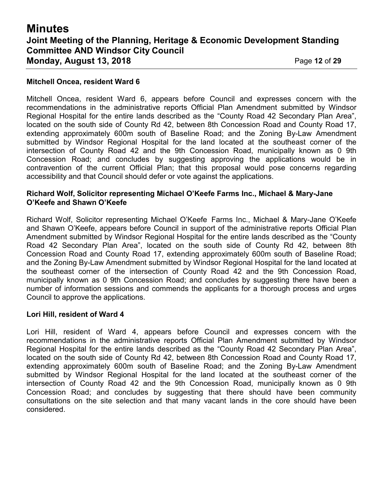# **Minutes Joint Meeting of the Planning, Heritage & Economic Development Standing Committee AND Windsor City Council Monday, August 13, 2018** Page **12** of **29**

#### **Mitchell Oncea, resident Ward 6**

Mitchell Oncea, resident Ward 6, appears before Council and expresses concern with the recommendations in the administrative reports Official Plan Amendment submitted by Windsor Regional Hospital for the entire lands described as the "County Road 42 Secondary Plan Area", located on the south side of County Rd 42, between 8th Concession Road and County Road 17, extending approximately 600m south of Baseline Road; and the Zoning By-Law Amendment submitted by Windsor Regional Hospital for the land located at the southeast corner of the intersection of County Road 42 and the 9th Concession Road, municipally known as 0 9th Concession Road; and concludes by suggesting approving the applications would be in contravention of the current Official Plan; that this proposal would pose concerns regarding accessibility and that Council should defer or vote against the applications.

#### **Richard Wolf, Solicitor representing Michael O'Keefe Farms Inc., Michael & Mary-Jane O'Keefe and Shawn O'Keefe**

Richard Wolf, Solicitor representing Michael O'Keefe Farms Inc., Michael & Mary-Jane O'Keefe and Shawn O'Keefe, appears before Council in support of the administrative reports Official Plan Amendment submitted by Windsor Regional Hospital for the entire lands described as the "County Road 42 Secondary Plan Area", located on the south side of County Rd 42, between 8th Concession Road and County Road 17, extending approximately 600m south of Baseline Road; and the Zoning By-Law Amendment submitted by Windsor Regional Hospital for the land located at the southeast corner of the intersection of County Road 42 and the 9th Concession Road, municipally known as 0 9th Concession Road; and concludes by suggesting there have been a number of information sessions and commends the applicants for a thorough process and urges Council to approve the applications.

#### **Lori Hill, resident of Ward 4**

Lori Hill, resident of Ward 4, appears before Council and expresses concern with the recommendations in the administrative reports Official Plan Amendment submitted by Windsor Regional Hospital for the entire lands described as the "County Road 42 Secondary Plan Area", located on the south side of County Rd 42, between 8th Concession Road and County Road 17, extending approximately 600m south of Baseline Road; and the Zoning By-Law Amendment submitted by Windsor Regional Hospital for the land located at the southeast corner of the intersection of County Road 42 and the 9th Concession Road, municipally known as 0 9th Concession Road; and concludes by suggesting that there should have been community consultations on the site selection and that many vacant lands in the core should have been considered.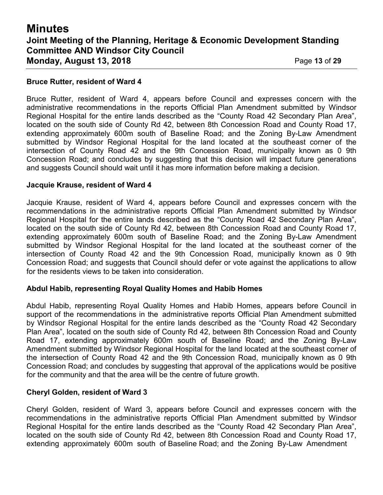# **Minutes Joint Meeting of the Planning, Heritage & Economic Development Standing Committee AND Windsor City Council Monday, August 13, 2018** Page **13** of **29**

#### **Bruce Rutter, resident of Ward 4**

Bruce Rutter, resident of Ward 4, appears before Council and expresses concern with the administrative recommendations in the reports Official Plan Amendment submitted by Windsor Regional Hospital for the entire lands described as the "County Road 42 Secondary Plan Area", located on the south side of County Rd 42, between 8th Concession Road and County Road 17, extending approximately 600m south of Baseline Road; and the Zoning By-Law Amendment submitted by Windsor Regional Hospital for the land located at the southeast corner of the intersection of County Road 42 and the 9th Concession Road, municipally known as 0 9th Concession Road; and concludes by suggesting that this decision will impact future generations and suggests Council should wait until it has more information before making a decision.

#### **Jacquie Krause, resident of Ward 4**

Jacquie Krause, resident of Ward 4, appears before Council and expresses concern with the recommendations in the administrative reports Official Plan Amendment submitted by Windsor Regional Hospital for the entire lands described as the "County Road 42 Secondary Plan Area", located on the south side of County Rd 42, between 8th Concession Road and County Road 17, extending approximately 600m south of Baseline Road; and the Zoning By-Law Amendment submitted by Windsor Regional Hospital for the land located at the southeast corner of the intersection of County Road 42 and the 9th Concession Road, municipally known as 0 9th Concession Road; and suggests that Council should defer or vote against the applications to allow for the residents views to be taken into consideration.

#### **Abdul Habib, representing Royal Quality Homes and Habib Homes**

Abdul Habib, representing Royal Quality Homes and Habib Homes, appears before Council in support of the recommendations in the administrative reports Official Plan Amendment submitted by Windsor Regional Hospital for the entire lands described as the "County Road 42 Secondary Plan Area", located on the south side of County Rd 42, between 8th Concession Road and County Road 17, extending approximately 600m south of Baseline Road; and the Zoning By-Law Amendment submitted by Windsor Regional Hospital for the land located at the southeast corner of the intersection of County Road 42 and the 9th Concession Road, municipally known as 0 9th Concession Road; and concludes by suggesting that approval of the applications would be positive for the community and that the area will be the centre of future growth.

#### **Cheryl Golden, resident of Ward 3**

Cheryl Golden, resident of Ward 3, appears before Council and expresses concern with the recommendations in the administrative reports Official Plan Amendment submitted by Windsor Regional Hospital for the entire lands described as the "County Road 42 Secondary Plan Area", located on the south side of County Rd 42, between 8th Concession Road and County Road 17, extending approximately 600m south of Baseline Road; and the Zoning By-Law Amendment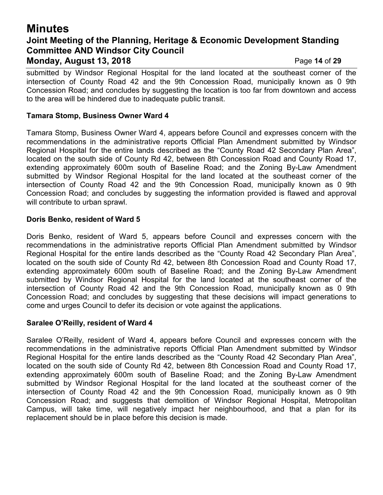## **Minutes Joint Meeting of the Planning, Heritage & Economic Development Standing Committee AND Windsor City Council Monday, August 13, 2018** Page **14** of **29**

submitted by Windsor Regional Hospital for the land located at the southeast corner of the intersection of County Road 42 and the 9th Concession Road, municipally known as 0 9th Concession Road; and concludes by suggesting the location is too far from downtown and access to the area will be hindered due to inadequate public transit.

#### **Tamara Stomp, Business Owner Ward 4**

Tamara Stomp, Business Owner Ward 4, appears before Council and expresses concern with the recommendations in the administrative reports Official Plan Amendment submitted by Windsor Regional Hospital for the entire lands described as the "County Road 42 Secondary Plan Area", located on the south side of County Rd 42, between 8th Concession Road and County Road 17, extending approximately 600m south of Baseline Road; and the Zoning By-Law Amendment submitted by Windsor Regional Hospital for the land located at the southeast corner of the intersection of County Road 42 and the 9th Concession Road, municipally known as 0 9th Concession Road; and concludes by suggesting the information provided is flawed and approval will contribute to urban sprawl.

#### **Doris Benko, resident of Ward 5**

Doris Benko, resident of Ward 5, appears before Council and expresses concern with the recommendations in the administrative reports Official Plan Amendment submitted by Windsor Regional Hospital for the entire lands described as the "County Road 42 Secondary Plan Area", located on the south side of County Rd 42, between 8th Concession Road and County Road 17, extending approximately 600m south of Baseline Road; and the Zoning By-Law Amendment submitted by Windsor Regional Hospital for the land located at the southeast corner of the intersection of County Road 42 and the 9th Concession Road, municipally known as 0 9th Concession Road; and concludes by suggesting that these decisions will impact generations to come and urges Council to defer its decision or vote against the applications.

#### **Saralee O'Reilly, resident of Ward 4**

Saralee O'Reilly, resident of Ward 4, appears before Council and expresses concern with the recommendations in the administrative reports Official Plan Amendment submitted by Windsor Regional Hospital for the entire lands described as the "County Road 42 Secondary Plan Area", located on the south side of County Rd 42, between 8th Concession Road and County Road 17, extending approximately 600m south of Baseline Road; and the Zoning By-Law Amendment submitted by Windsor Regional Hospital for the land located at the southeast corner of the intersection of County Road 42 and the 9th Concession Road, municipally known as 0 9th Concession Road; and suggests that demolition of Windsor Regional Hospital, Metropolitan Campus, will take time, will negatively impact her neighbourhood, and that a plan for its replacement should be in place before this decision is made.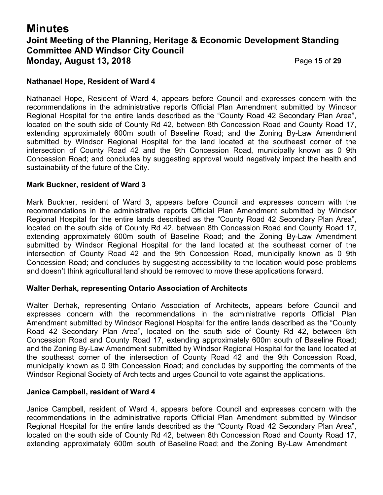#### **Nathanael Hope, Resident of Ward 4**

Nathanael Hope, Resident of Ward 4, appears before Council and expresses concern with the recommendations in the administrative reports Official Plan Amendment submitted by Windsor Regional Hospital for the entire lands described as the "County Road 42 Secondary Plan Area", located on the south side of County Rd 42, between 8th Concession Road and County Road 17, extending approximately 600m south of Baseline Road; and the Zoning By-Law Amendment submitted by Windsor Regional Hospital for the land located at the southeast corner of the intersection of County Road 42 and the 9th Concession Road, municipally known as 0 9th Concession Road; and concludes by suggesting approval would negatively impact the health and sustainability of the future of the City.

#### **Mark Buckner, resident of Ward 3**

Mark Buckner, resident of Ward 3, appears before Council and expresses concern with the recommendations in the administrative reports Official Plan Amendment submitted by Windsor Regional Hospital for the entire lands described as the "County Road 42 Secondary Plan Area", located on the south side of County Rd 42, between 8th Concession Road and County Road 17, extending approximately 600m south of Baseline Road; and the Zoning By-Law Amendment submitted by Windsor Regional Hospital for the land located at the southeast corner of the intersection of County Road 42 and the 9th Concession Road, municipally known as 0 9th Concession Road; and concludes by suggesting accessibility to the location would pose problems and doesn't think agricultural land should be removed to move these applications forward.

#### **Walter Derhak, representing Ontario Association of Architects**

Walter Derhak, representing Ontario Association of Architects, appears before Council and expresses concern with the recommendations in the administrative reports Official Plan Amendment submitted by Windsor Regional Hospital for the entire lands described as the "County Road 42 Secondary Plan Area", located on the south side of County Rd 42, between 8th Concession Road and County Road 17, extending approximately 600m south of Baseline Road; and the Zoning By-Law Amendment submitted by Windsor Regional Hospital for the land located at the southeast corner of the intersection of County Road 42 and the 9th Concession Road, municipally known as 0 9th Concession Road; and concludes by supporting the comments of the Windsor Regional Society of Architects and urges Council to vote against the applications.

#### **Janice Campbell, resident of Ward 4**

Janice Campbell, resident of Ward 4, appears before Council and expresses concern with the recommendations in the administrative reports Official Plan Amendment submitted by Windsor Regional Hospital for the entire lands described as the "County Road 42 Secondary Plan Area", located on the south side of County Rd 42, between 8th Concession Road and County Road 17, extending approximately 600m south of Baseline Road; and the Zoning By-Law Amendment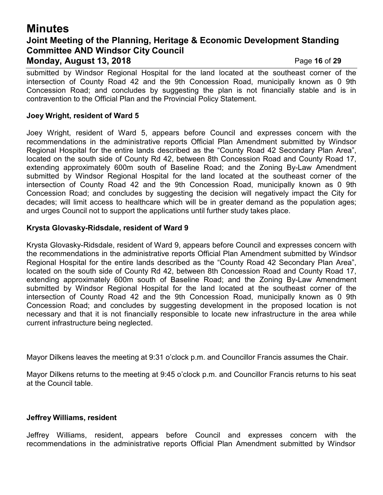### **Minutes Joint Meeting of the Planning, Heritage & Economic Development Standing Committee AND Windsor City Council Monday, August 13, 2018** Page **16** of **29**

submitted by Windsor Regional Hospital for the land located at the southeast corner of the intersection of County Road 42 and the 9th Concession Road, municipally known as 0 9th Concession Road; and concludes by suggesting the plan is not financially stable and is in contravention to the Official Plan and the Provincial Policy Statement.

#### **Joey Wright, resident of Ward 5**

Joey Wright, resident of Ward 5, appears before Council and expresses concern with the recommendations in the administrative reports Official Plan Amendment submitted by Windsor Regional Hospital for the entire lands described as the "County Road 42 Secondary Plan Area", located on the south side of County Rd 42, between 8th Concession Road and County Road 17, extending approximately 600m south of Baseline Road; and the Zoning By-Law Amendment submitted by Windsor Regional Hospital for the land located at the southeast corner of the intersection of County Road 42 and the 9th Concession Road, municipally known as 0 9th Concession Road; and concludes by suggesting the decision will negatively impact the City for decades; will limit access to healthcare which will be in greater demand as the population ages; and urges Council not to support the applications until further study takes place.

#### **Krysta Glovasky-Ridsdale, resident of Ward 9**

Krysta Glovasky-Ridsdale, resident of Ward 9, appears before Council and expresses concern with the recommendations in the administrative reports Official Plan Amendment submitted by Windsor Regional Hospital for the entire lands described as the "County Road 42 Secondary Plan Area", located on the south side of County Rd 42, between 8th Concession Road and County Road 17, extending approximately 600m south of Baseline Road; and the Zoning By-Law Amendment submitted by Windsor Regional Hospital for the land located at the southeast corner of the intersection of County Road 42 and the 9th Concession Road, municipally known as 0 9th Concession Road; and concludes by suggesting development in the proposed location is not necessary and that it is not financially responsible to locate new infrastructure in the area while current infrastructure being neglected.

Mayor Dilkens leaves the meeting at 9:31 o'clock p.m. and Councillor Francis assumes the Chair.

Mayor Dilkens returns to the meeting at 9:45 o'clock p.m. and Councillor Francis returns to his seat at the Council table.

#### **Jeffrey Williams, resident**

Jeffrey Williams, resident, appears before Council and expresses concern with the recommendations in the administrative reports Official Plan Amendment submitted by Windsor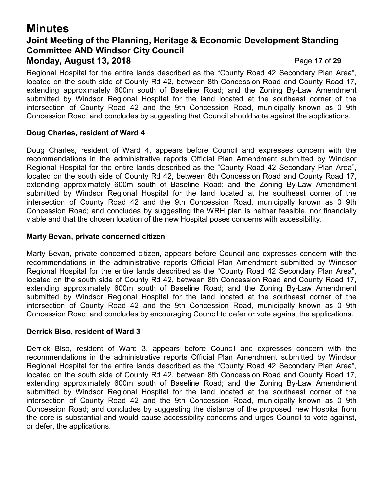## **Minutes Joint Meeting of the Planning, Heritage & Economic Development Standing Committee AND Windsor City Council Monday, August 13, 2018** Page **17** of **29**

Regional Hospital for the entire lands described as the "County Road 42 Secondary Plan Area", located on the south side of County Rd 42, between 8th Concession Road and County Road 17, extending approximately 600m south of Baseline Road; and the Zoning By-Law Amendment submitted by Windsor Regional Hospital for the land located at the southeast corner of the intersection of County Road 42 and the 9th Concession Road, municipally known as 0 9th Concession Road; and concludes by suggesting that Council should vote against the applications.

#### **Doug Charles, resident of Ward 4**

Doug Charles, resident of Ward 4, appears before Council and expresses concern with the recommendations in the administrative reports Official Plan Amendment submitted by Windsor Regional Hospital for the entire lands described as the "County Road 42 Secondary Plan Area", located on the south side of County Rd 42, between 8th Concession Road and County Road 17, extending approximately 600m south of Baseline Road; and the Zoning By-Law Amendment submitted by Windsor Regional Hospital for the land located at the southeast corner of the intersection of County Road 42 and the 9th Concession Road, municipally known as 0 9th Concession Road; and concludes by suggesting the WRH plan is neither feasible, nor financially viable and that the chosen location of the new Hospital poses concerns with accessibility.

#### **Marty Bevan, private concerned citizen**

Marty Bevan, private concerned citizen, appears before Council and expresses concern with the recommendations in the administrative reports Official Plan Amendment submitted by Windsor Regional Hospital for the entire lands described as the "County Road 42 Secondary Plan Area", located on the south side of County Rd 42, between 8th Concession Road and County Road 17, extending approximately 600m south of Baseline Road; and the Zoning By-Law Amendment submitted by Windsor Regional Hospital for the land located at the southeast corner of the intersection of County Road 42 and the 9th Concession Road, municipally known as 0 9th Concession Road; and concludes by encouraging Council to defer or vote against the applications.

#### **Derrick Biso, resident of Ward 3**

Derrick Biso, resident of Ward 3, appears before Council and expresses concern with the recommendations in the administrative reports Official Plan Amendment submitted by Windsor Regional Hospital for the entire lands described as the "County Road 42 Secondary Plan Area", located on the south side of County Rd 42, between 8th Concession Road and County Road 17, extending approximately 600m south of Baseline Road; and the Zoning By-Law Amendment submitted by Windsor Regional Hospital for the land located at the southeast corner of the intersection of County Road 42 and the 9th Concession Road, municipally known as 0 9th Concession Road; and concludes by suggesting the distance of the proposed new Hospital from the core is substantial and would cause accessibility concerns and urges Council to vote against, or defer, the applications.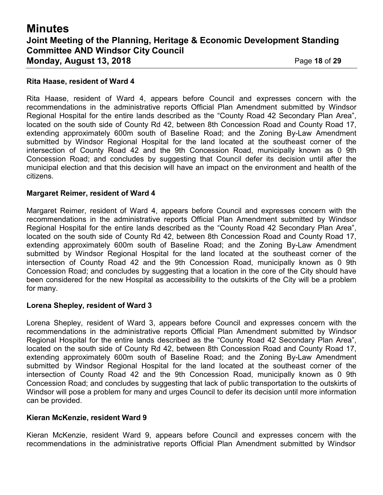# **Minutes Joint Meeting of the Planning, Heritage & Economic Development Standing Committee AND Windsor City Council Monday, August 13, 2018** Page **18** of **29**

#### **Rita Haase, resident of Ward 4**

Rita Haase, resident of Ward 4, appears before Council and expresses concern with the recommendations in the administrative reports Official Plan Amendment submitted by Windsor Regional Hospital for the entire lands described as the "County Road 42 Secondary Plan Area", located on the south side of County Rd 42, between 8th Concession Road and County Road 17, extending approximately 600m south of Baseline Road; and the Zoning By-Law Amendment submitted by Windsor Regional Hospital for the land located at the southeast corner of the intersection of County Road 42 and the 9th Concession Road, municipally known as 0 9th Concession Road; and concludes by suggesting that Council defer its decision until after the municipal election and that this decision will have an impact on the environment and health of the citizens.

#### **Margaret Reimer, resident of Ward 4**

Margaret Reimer, resident of Ward 4, appears before Council and expresses concern with the recommendations in the administrative reports Official Plan Amendment submitted by Windsor Regional Hospital for the entire lands described as the "County Road 42 Secondary Plan Area", located on the south side of County Rd 42, between 8th Concession Road and County Road 17, extending approximately 600m south of Baseline Road; and the Zoning By-Law Amendment submitted by Windsor Regional Hospital for the land located at the southeast corner of the intersection of County Road 42 and the 9th Concession Road, municipally known as 0 9th Concession Road; and concludes by suggesting that a location in the core of the City should have been considered for the new Hospital as accessibility to the outskirts of the City will be a problem for many.

#### **Lorena Shepley, resident of Ward 3**

Lorena Shepley, resident of Ward 3, appears before Council and expresses concern with the recommendations in the administrative reports Official Plan Amendment submitted by Windsor Regional Hospital for the entire lands described as the "County Road 42 Secondary Plan Area", located on the south side of County Rd 42, between 8th Concession Road and County Road 17, extending approximately 600m south of Baseline Road; and the Zoning By-Law Amendment submitted by Windsor Regional Hospital for the land located at the southeast corner of the intersection of County Road 42 and the 9th Concession Road, municipally known as 0 9th Concession Road; and concludes by suggesting that lack of public transportation to the outskirts of Windsor will pose a problem for many and urges Council to defer its decision until more information can be provided.

#### **Kieran McKenzie, resident Ward 9**

Kieran McKenzie, resident Ward 9, appears before Council and expresses concern with the recommendations in the administrative reports Official Plan Amendment submitted by Windsor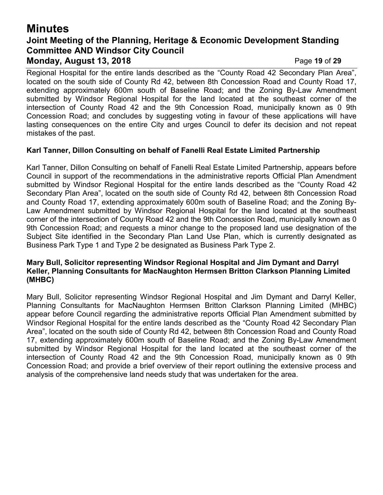## **Minutes Joint Meeting of the Planning, Heritage & Economic Development Standing Committee AND Windsor City Council Monday, August 13, 2018** Page **19** of **29**

Regional Hospital for the entire lands described as the "County Road 42 Secondary Plan Area", located on the south side of County Rd 42, between 8th Concession Road and County Road 17, extending approximately 600m south of Baseline Road; and the Zoning By-Law Amendment submitted by Windsor Regional Hospital for the land located at the southeast corner of the intersection of County Road 42 and the 9th Concession Road, municipally known as 0 9th Concession Road; and concludes by suggesting voting in favour of these applications will have lasting consequences on the entire City and urges Council to defer its decision and not repeat mistakes of the past.

#### **Karl Tanner, Dillon Consulting on behalf of Fanelli Real Estate Limited Partnership**

Karl Tanner, Dillon Consulting on behalf of Fanelli Real Estate Limited Partnership, appears before Council in support of the recommendations in the administrative reports Official Plan Amendment submitted by Windsor Regional Hospital for the entire lands described as the "County Road 42 Secondary Plan Area", located on the south side of County Rd 42, between 8th Concession Road and County Road 17, extending approximately 600m south of Baseline Road; and the Zoning By-Law Amendment submitted by Windsor Regional Hospital for the land located at the southeast corner of the intersection of County Road 42 and the 9th Concession Road, municipally known as 0 9th Concession Road; and requests a minor change to the proposed land use designation of the Subject Site identified in the Secondary Plan Land Use Plan, which is currently designated as Business Park Type 1 and Type 2 be designated as Business Park Type 2.

#### **Mary Bull, Solicitor representing Windsor Regional Hospital and Jim Dymant and Darryl Keller, Planning Consultants for MacNaughton Hermsen Britton Clarkson Planning Limited (MHBC)**

Mary Bull, Solicitor representing Windsor Regional Hospital and Jim Dymant and Darryl Keller, Planning Consultants for MacNaughton Hermsen Britton Clarkson Planning Limited (MHBC) appear before Council regarding the administrative reports Official Plan Amendment submitted by Windsor Regional Hospital for the entire lands described as the "County Road 42 Secondary Plan Area", located on the south side of County Rd 42, between 8th Concession Road and County Road 17, extending approximately 600m south of Baseline Road; and the Zoning By-Law Amendment submitted by Windsor Regional Hospital for the land located at the southeast corner of the intersection of County Road 42 and the 9th Concession Road, municipally known as 0 9th Concession Road; and provide a brief overview of their report outlining the extensive process and analysis of the comprehensive land needs study that was undertaken for the area.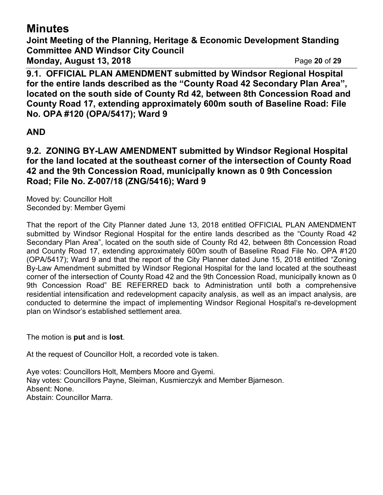# **Minutes**

**Joint Meeting of the Planning, Heritage & Economic Development Standing Committee AND Windsor City Council Monday, August 13, 2018** Page **20** of **29**

**9.1. OFFICIAL PLAN AMENDMENT submitted by Windsor Regional Hospital for the entire lands described as the "County Road 42 Secondary Plan Area", located on the south side of County Rd 42, between 8th Concession Road and County Road 17, extending approximately 600m south of Baseline Road: File No. OPA #120 (OPA/5417); Ward 9**

# **AND**

**9.2. ZONING BY-LAW AMENDMENT submitted by Windsor Regional Hospital for the land located at the southeast corner of the intersection of County Road 42 and the 9th Concession Road, municipally known as 0 9th Concession Road; File No. Z-007/18 (ZNG/5416); Ward 9**

Moved by: Councillor Holt Seconded by: Member Gyemi

That the report of the City Planner dated June 13, 2018 entitled OFFICIAL PLAN AMENDMENT submitted by Windsor Regional Hospital for the entire lands described as the "County Road 42 Secondary Plan Area", located on the south side of County Rd 42, between 8th Concession Road and County Road 17, extending approximately 600m south of Baseline Road File No. OPA #120 (OPA/5417); Ward 9 and that the report of the City Planner dated June 15, 2018 entitled "Zoning By-Law Amendment submitted by Windsor Regional Hospital for the land located at the southeast corner of the intersection of County Road 42 and the 9th Concession Road, municipally known as 0 9th Concession Road" BE REFERRED back to Administration until both a comprehensive residential intensification and redevelopment capacity analysis, as well as an impact analysis, are conducted to determine the impact of implementing Windsor Regional Hospital's re-development plan on Windsor's established settlement area.

The motion is **put** and is **lost**.

At the request of Councillor Holt, a recorded vote is taken.

Aye votes: Councillors Holt, Members Moore and Gyemi. Nay votes: Councillors Payne, Sleiman, Kusmierczyk and Member Bjarneson. Absent: None. Abstain: Councillor Marra.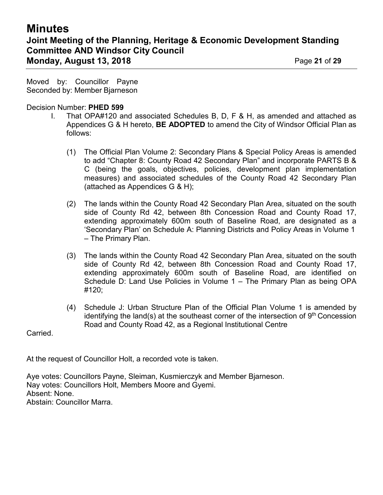# **Minutes Joint Meeting of the Planning, Heritage & Economic Development Standing Committee AND Windsor City Council Monday, August 13, 2018** Page **21** of **29**

Moved by: Councillor Payne Seconded by: Member Bjarneson

Decision Number: **PHED 599**

- I. That OPA#120 and associated Schedules B, D, F & H, as amended and attached as Appendices G & H hereto, **BE ADOPTED** to amend the City of Windsor Official Plan as follows:
	- (1) The Official Plan Volume 2: Secondary Plans & Special Policy Areas is amended to add "Chapter 8: County Road 42 Secondary Plan" and incorporate PARTS B & C (being the goals, objectives, policies, development plan implementation measures) and associated schedules of the County Road 42 Secondary Plan (attached as Appendices G & H);
	- (2) The lands within the County Road 42 Secondary Plan Area, situated on the south side of County Rd 42, between 8th Concession Road and County Road 17, extending approximately 600m south of Baseline Road, are designated as a 'Secondary Plan' on Schedule A: Planning Districts and Policy Areas in Volume 1 – The Primary Plan.
	- (3) The lands within the County Road 42 Secondary Plan Area, situated on the south side of County Rd 42, between 8th Concession Road and County Road 17, extending approximately 600m south of Baseline Road, are identified on Schedule D: Land Use Policies in Volume 1 – The Primary Plan as being OPA #120;
	- (4) Schedule J: Urban Structure Plan of the Official Plan Volume 1 is amended by identifying the land(s) at the southeast corner of the intersection of  $9<sup>th</sup>$  Concession Road and County Road 42, as a Regional Institutional Centre

Carried.

At the request of Councillor Holt, a recorded vote is taken.

Aye votes: Councillors Payne, Sleiman, Kusmierczyk and Member Bjarneson. Nay votes: Councillors Holt, Members Moore and Gyemi. Absent: None. Abstain: Councillor Marra.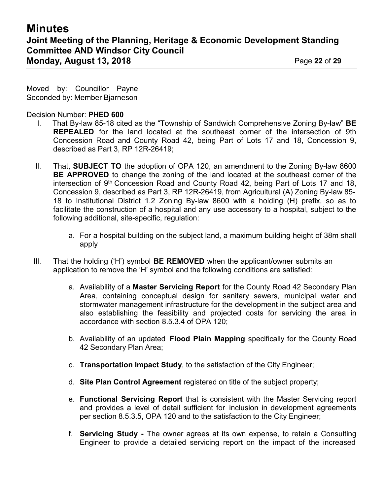Moved by: Councillor Payne Seconded by: Member Bjarneson

Decision Number: **PHED 600**

- I. That By-law 85-18 cited as the "Township of Sandwich Comprehensive Zoning By-law" **BE REPEALED** for the land located at the southeast corner of the intersection of 9th Concession Road and County Road 42, being Part of Lots 17 and 18, Concession 9, described as Part 3, RP 12R-26419;
- II. That, **SUBJECT TO** the adoption of OPA 120, an amendment to the Zoning By-law 8600 **BE APPROVED** to change the zoning of the land located at the southeast corner of the intersection of  $9<sup>th</sup>$  Concession Road and County Road 42, being Part of Lots 17 and 18, Concession 9, described as Part 3, RP 12R-26419, from Agricultural (A) Zoning By-law 85- 18 to Institutional District 1.2 Zoning By-law 8600 with a holding (H) prefix, so as to facilitate the construction of a hospital and any use accessory to a hospital, subject to the following additional, site-specific, regulation:
	- a. For a hospital building on the subject land, a maximum building height of 38m shall apply
- III. That the holding ('H') symbol **BE REMOVED** when the applicant/owner submits an application to remove the 'H' symbol and the following conditions are satisfied:
	- a. Availability of a **Master Servicing Report** for the County Road 42 Secondary Plan Area, containing conceptual design for sanitary sewers, municipal water and stormwater management infrastructure for the development in the subject area and also establishing the feasibility and projected costs for servicing the area in accordance with section 8.5.3.4 of OPA 120;
	- b. Availability of an updated **Flood Plain Mapping** specifically for the County Road 42 Secondary Plan Area;
	- c. **Transportation Impact Study**, to the satisfaction of the City Engineer;
	- d. **Site Plan Control Agreement** registered on title of the subject property;
	- e. **Functional Servicing Report** that is consistent with the Master Servicing report and provides a level of detail sufficient for inclusion in development agreements per section 8.5.3.5, OPA 120 and to the satisfaction to the City Engineer;
	- f. **Servicing Study -** The owner agrees at its own expense, to retain a Consulting Engineer to provide a detailed servicing report on the impact of the increased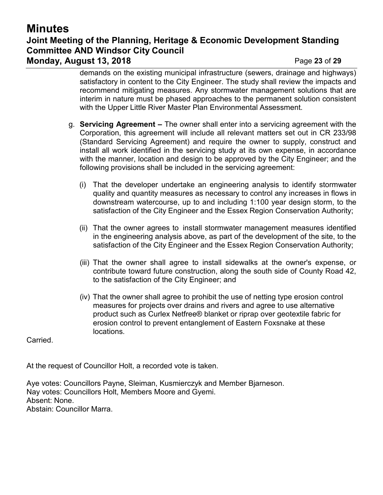# **Minutes Joint Meeting of the Planning, Heritage & Economic Development Standing Committee AND Windsor City Council Monday, August 13, 2018** Page **23** of **29**

demands on the existing municipal infrastructure (sewers, drainage and highways) satisfactory in content to the City Engineer. The study shall review the impacts and recommend mitigating measures. Any stormwater management solutions that are interim in nature must be phased approaches to the permanent solution consistent with the Upper Little River Master Plan Environmental Assessment.

- g. **Servicing Agreement –** The owner shall enter into a servicing agreement with the Corporation, this agreement will include all relevant matters set out in CR 233/98 (Standard Servicing Agreement) and require the owner to supply, construct and install all work identified in the servicing study at its own expense, in accordance with the manner, location and design to be approved by the City Engineer; and the following provisions shall be included in the servicing agreement:
	- (i) That the developer undertake an engineering analysis to identify stormwater quality and quantity measures as necessary to control any increases in flows in downstream watercourse, up to and including 1:100 year design storm, to the satisfaction of the City Engineer and the Essex Region Conservation Authority;
	- (ii) That the owner agrees to install stormwater management measures identified in the engineering analysis above, as part of the development of the site, to the satisfaction of the City Engineer and the Essex Region Conservation Authority;
	- (iii) That the owner shall agree to install sidewalks at the owner's expense, or contribute toward future construction, along the south side of County Road 42, to the satisfaction of the City Engineer; and
	- (iv) That the owner shall agree to prohibit the use of netting type erosion control measures for projects over drains and rivers and agree to use alternative product such as Curlex Netfree® blanket or riprap over geotextile fabric for erosion control to prevent entanglement of Eastern Foxsnake at these locations.

Carried.

At the request of Councillor Holt, a recorded vote is taken.

Aye votes: Councillors Payne, Sleiman, Kusmierczyk and Member Bjarneson. Nay votes: Councillors Holt, Members Moore and Gyemi. Absent: None. Abstain: Councillor Marra.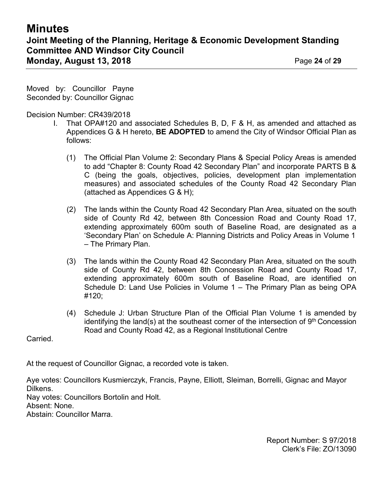Moved by: Councillor Payne Seconded by: Councillor Gignac

Decision Number: CR439/2018

- I. That OPA#120 and associated Schedules B, D, F & H, as amended and attached as Appendices G & H hereto, **BE ADOPTED** to amend the City of Windsor Official Plan as follows:
	- (1) The Official Plan Volume 2: Secondary Plans & Special Policy Areas is amended to add "Chapter 8: County Road 42 Secondary Plan" and incorporate PARTS B & C (being the goals, objectives, policies, development plan implementation measures) and associated schedules of the County Road 42 Secondary Plan (attached as Appendices G & H);
	- (2) The lands within the County Road 42 Secondary Plan Area, situated on the south side of County Rd 42, between 8th Concession Road and County Road 17, extending approximately 600m south of Baseline Road, are designated as a 'Secondary Plan' on Schedule A: Planning Districts and Policy Areas in Volume 1 – The Primary Plan.
	- (3) The lands within the County Road 42 Secondary Plan Area, situated on the south side of County Rd 42, between 8th Concession Road and County Road 17, extending approximately 600m south of Baseline Road, are identified on Schedule D: Land Use Policies in Volume 1 – The Primary Plan as being OPA #120;
	- (4) Schedule J: Urban Structure Plan of the Official Plan Volume 1 is amended by identifying the land(s) at the southeast corner of the intersection of  $9<sup>th</sup>$  Concession Road and County Road 42, as a Regional Institutional Centre

Carried.

At the request of Councillor Gignac, a recorded vote is taken.

Aye votes: Councillors Kusmierczyk, Francis, Payne, Elliott, Sleiman, Borrelli, Gignac and Mayor Dilkens.

Nay votes: Councillors Bortolin and Holt.

Absent: None.

Abstain: Councillor Marra.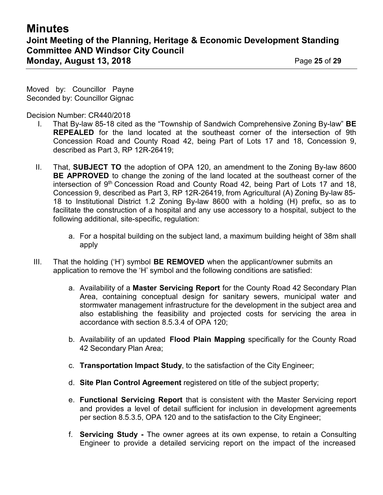Moved by: Councillor Payne Seconded by: Councillor Gignac

Decision Number: CR440/2018

- I. That By-law 85-18 cited as the "Township of Sandwich Comprehensive Zoning By-law" **BE REPEALED** for the land located at the southeast corner of the intersection of 9th Concession Road and County Road 42, being Part of Lots 17 and 18, Concession 9, described as Part 3, RP 12R-26419;
- II. That, **SUBJECT TO** the adoption of OPA 120, an amendment to the Zoning By-law 8600 **BE APPROVED** to change the zoning of the land located at the southeast corner of the intersection of 9th Concession Road and County Road 42, being Part of Lots 17 and 18, Concession 9, described as Part 3, RP 12R-26419, from Agricultural (A) Zoning By-law 85- 18 to Institutional District 1.2 Zoning By-law 8600 with a holding (H) prefix, so as to facilitate the construction of a hospital and any use accessory to a hospital, subject to the following additional, site-specific, regulation:
	- a. For a hospital building on the subject land, a maximum building height of 38m shall apply
- III. That the holding ('H') symbol **BE REMOVED** when the applicant/owner submits an application to remove the 'H' symbol and the following conditions are satisfied:
	- a. Availability of a **Master Servicing Report** for the County Road 42 Secondary Plan Area, containing conceptual design for sanitary sewers, municipal water and stormwater management infrastructure for the development in the subject area and also establishing the feasibility and projected costs for servicing the area in accordance with section 8.5.3.4 of OPA 120;
	- b. Availability of an updated **Flood Plain Mapping** specifically for the County Road 42 Secondary Plan Area;
	- c. **Transportation Impact Study**, to the satisfaction of the City Engineer;
	- d. **Site Plan Control Agreement** registered on title of the subject property;
	- e. **Functional Servicing Report** that is consistent with the Master Servicing report and provides a level of detail sufficient for inclusion in development agreements per section 8.5.3.5, OPA 120 and to the satisfaction to the City Engineer;
	- f. **Servicing Study -** The owner agrees at its own expense, to retain a Consulting Engineer to provide a detailed servicing report on the impact of the increased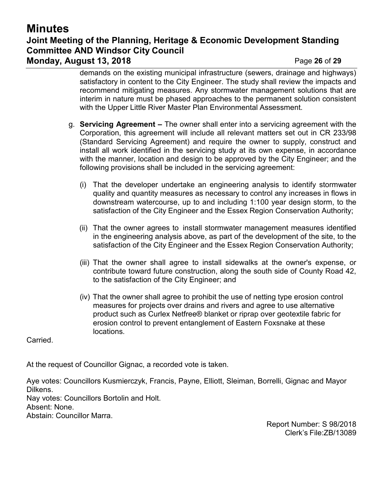# **Minutes Joint Meeting of the Planning, Heritage & Economic Development Standing Committee AND Windsor City Council Monday, August 13, 2018** Page **26** of **29**

demands on the existing municipal infrastructure (sewers, drainage and highways) satisfactory in content to the City Engineer. The study shall review the impacts and recommend mitigating measures. Any stormwater management solutions that are interim in nature must be phased approaches to the permanent solution consistent with the Upper Little River Master Plan Environmental Assessment.

- g. **Servicing Agreement –** The owner shall enter into a servicing agreement with the Corporation, this agreement will include all relevant matters set out in CR 233/98 (Standard Servicing Agreement) and require the owner to supply, construct and install all work identified in the servicing study at its own expense, in accordance with the manner, location and design to be approved by the City Engineer; and the following provisions shall be included in the servicing agreement:
	- (i) That the developer undertake an engineering analysis to identify stormwater quality and quantity measures as necessary to control any increases in flows in downstream watercourse, up to and including 1:100 year design storm, to the satisfaction of the City Engineer and the Essex Region Conservation Authority;
	- (ii) That the owner agrees to install stormwater management measures identified in the engineering analysis above, as part of the development of the site, to the satisfaction of the City Engineer and the Essex Region Conservation Authority;
	- (iii) That the owner shall agree to install sidewalks at the owner's expense, or contribute toward future construction, along the south side of County Road 42, to the satisfaction of the City Engineer; and
	- (iv) That the owner shall agree to prohibit the use of netting type erosion control measures for projects over drains and rivers and agree to use alternative product such as Curlex Netfree® blanket or riprap over geotextile fabric for erosion control to prevent entanglement of Eastern Foxsnake at these locations.

Carried.

At the request of Councillor Gignac, a recorded vote is taken.

Aye votes: Councillors Kusmierczyk, Francis, Payne, Elliott, Sleiman, Borrelli, Gignac and Mayor Dilkens.

Nay votes: Councillors Bortolin and Holt.

Absent: None.

Abstain: Councillor Marra.

Report Number: S 98/2018 Clerk's File:ZB/13089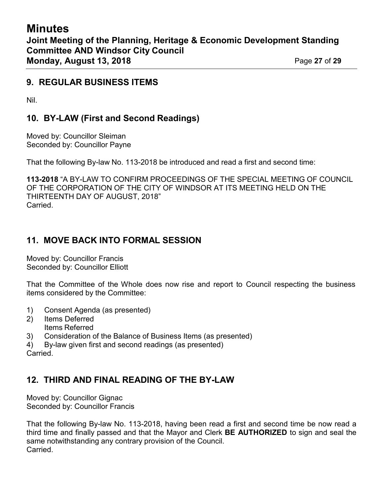## **9. REGULAR BUSINESS ITEMS**

Nil.

# **10. BY-LAW (First and Second Readings)**

Moved by: Councillor Sleiman Seconded by: Councillor Payne

That the following By-law No. 113-2018 be introduced and read a first and second time:

**113-2018** "A BY-LAW TO CONFIRM PROCEEDINGS OF THE SPECIAL MEETING OF COUNCIL OF THE CORPORATION OF THE CITY OF WINDSOR AT ITS MEETING HELD ON THE THIRTEENTH DAY OF AUGUST, 2018" **Carried** 

# **11. MOVE BACK INTO FORMAL SESSION**

Moved by: Councillor Francis Seconded by: Councillor Elliott

That the Committee of the Whole does now rise and report to Council respecting the business items considered by the Committee:

- 1) Consent Agenda (as presented)
- 2) Items Deferred Items Referred
- 3) Consideration of the Balance of Business Items (as presented)
- 4) By-law given first and second readings (as presented)

# **Carried**

### **12. THIRD AND FINAL READING OF THE BY-LAW**

Moved by: Councillor Gignac Seconded by: Councillor Francis

That the following By-law No. 113-2018, having been read a first and second time be now read a third time and finally passed and that the Mayor and Clerk **BE AUTHORIZED** to sign and seal the same notwithstanding any contrary provision of the Council. Carried.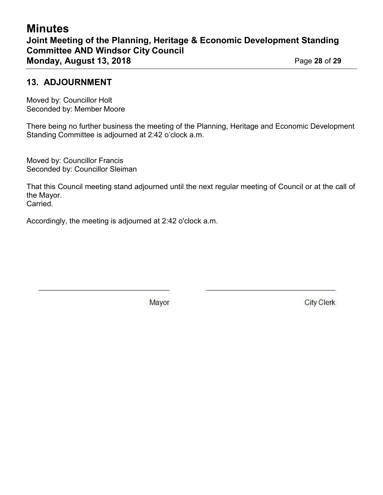## **13. ADJOURNMENT**

Moved by: Councillor Holt Seconded by: Member Moore

There being no further business the meeting of the Planning, Heritage and Economic Development Standing Committee is adjourned at 2:42 o'clock a.m.

Moved by: Councillor Francis Seconded by: Councillor Sleiman

That this Council meeting stand adjourned until the next regular meeting of Council or at the call of the Mayor. Carried.

Accordingly, the meeting is adjourned at 2:42 o'clock a.m.

Mayor

**City Clerk**